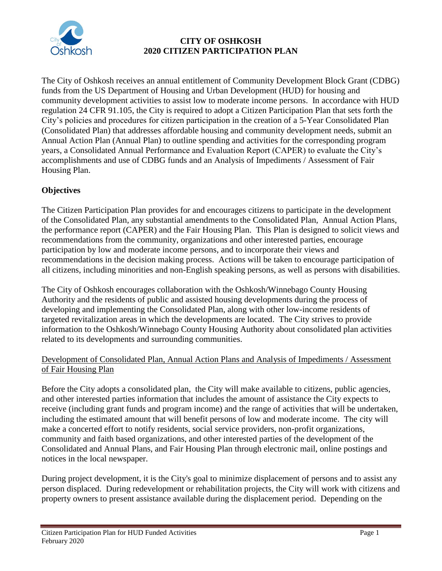

## **CITY OF OSHKOSH 2020 CITIZEN PARTICIPATION PLAN**

The City of Oshkosh receives an annual entitlement of Community Development Block Grant (CDBG) funds from the US Department of Housing and Urban Development (HUD) for housing and community development activities to assist low to moderate income persons. In accordance with HUD regulation 24 CFR 91.105, the City is required to adopt a Citizen Participation Plan that sets forth the City's policies and procedures for citizen participation in the creation of a 5-Year Consolidated Plan (Consolidated Plan) that addresses affordable housing and community development needs, submit an Annual Action Plan (Annual Plan) to outline spending and activities for the corresponding program years, a Consolidated Annual Performance and Evaluation Report (CAPER) to evaluate the City's accomplishments and use of CDBG funds and an Analysis of Impediments / Assessment of Fair Housing Plan.

## **Objectives**

The Citizen Participation Plan provides for and encourages citizens to participate in the development of the Consolidated Plan, any substantial amendments to the Consolidated Plan, Annual Action Plans, the performance report (CAPER) and the Fair Housing Plan. This Plan is designed to solicit views and recommendations from the community, organizations and other interested parties, encourage participation by low and moderate income persons, and to incorporate their views and recommendations in the decision making process. Actions will be taken to encourage participation of all citizens, including minorities and non-English speaking persons, as well as persons with disabilities.

The City of Oshkosh encourages collaboration with the Oshkosh/Winnebago County Housing Authority and the residents of public and assisted housing developments during the process of developing and implementing the Consolidated Plan, along with other low-income residents of targeted revitalization areas in which the developments are located. The City strives to provide information to the Oshkosh/Winnebago County Housing Authority about consolidated plan activities related to its developments and surrounding communities.

## Development of Consolidated Plan, Annual Action Plans and Analysis of Impediments / Assessment of Fair Housing Plan

Before the City adopts a consolidated plan, the City will make available to citizens, public agencies, and other interested parties information that includes the amount of assistance the City expects to receive (including grant funds and program income) and the range of activities that will be undertaken, including the estimated amount that will benefit persons of low and moderate income. The city will make a concerted effort to notify residents, social service providers, non-profit organizations, community and faith based organizations, and other interested parties of the development of the Consolidated and Annual Plans, and Fair Housing Plan through electronic mail, online postings and notices in the local newspaper.

During project development, it is the City's goal to minimize displacement of persons and to assist any person displaced. During redevelopment or rehabilitation projects, the City will work with citizens and property owners to present assistance available during the displacement period. Depending on the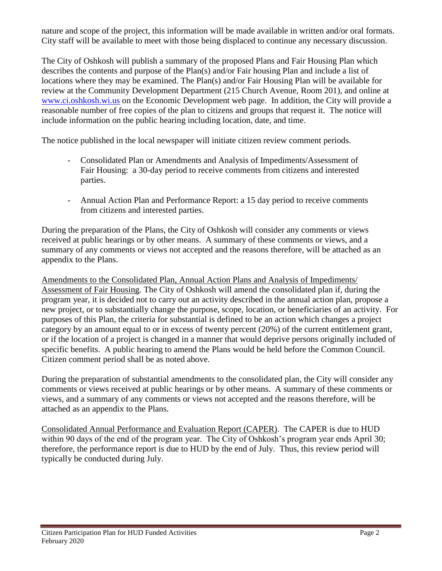nature and scope of the project, this information will be made available in written and/or oral formats. City staff will be available to meet with those being displaced to continue any necessary discussion.

The City of Oshkosh will publish a summary of the proposed Plans and Fair Housing Plan which describes the contents and purpose of the Plan(s) and/or Fair housing Plan and include a list of locations where they may be examined. The Plan(s) and/or Fair Housing Plan will be available for review at the Community Development Department (215 Church Avenue, Room 201), and online at [www.ci.oshkosh.wi.us](http://www.ci.oshkosh.wi.us/) on the Economic Development web page. In addition, the City will provide a reasonable number of free copies of the plan to citizens and groups that request it. The notice will include information on the public hearing including location, date, and time.

The notice published in the local newspaper will initiate citizen review comment periods.

- Consolidated Plan or Amendments and Analysis of Impediments/Assessment of Fair Housing: a 30-day period to receive comments from citizens and interested parties.
- Annual Action Plan and Performance Report: a 15 day period to receive comments from citizens and interested parties.

During the preparation of the Plans, the City of Oshkosh will consider any comments or views received at public hearings or by other means. A summary of these comments or views, and a summary of any comments or views not accepted and the reasons therefore, will be attached as an appendix to the Plans.

Amendments to the Consolidated Plan, Annual Action Plans and Analysis of Impediments/ Assessment of Fair Housing. The City of Oshkosh will amend the consolidated plan if, during the program year, it is decided not to carry out an activity described in the annual action plan, propose a new project, or to substantially change the purpose, scope, location, or beneficiaries of an activity. For purposes of this Plan, the criteria for substantial is defined to be an action which changes a project category by an amount equal to or in excess of twenty percent (20%) of the current entitlement grant, or if the location of a project is changed in a manner that would deprive persons originally included of specific benefits. A public hearing to amend the Plans would be held before the Common Council. Citizen comment period shall be as noted above.

During the preparation of substantial amendments to the consolidated plan, the City will consider any comments or views received at public hearings or by other means. A summary of these comments or views, and a summary of any comments or views not accepted and the reasons therefore, will be attached as an appendix to the Plans.

Consolidated Annual Performance and Evaluation Report (CAPER). The CAPER is due to HUD within 90 days of the end of the program year. The City of Oshkosh's program year ends April 30; therefore, the performance report is due to HUD by the end of July. Thus, this review period will typically be conducted during July.